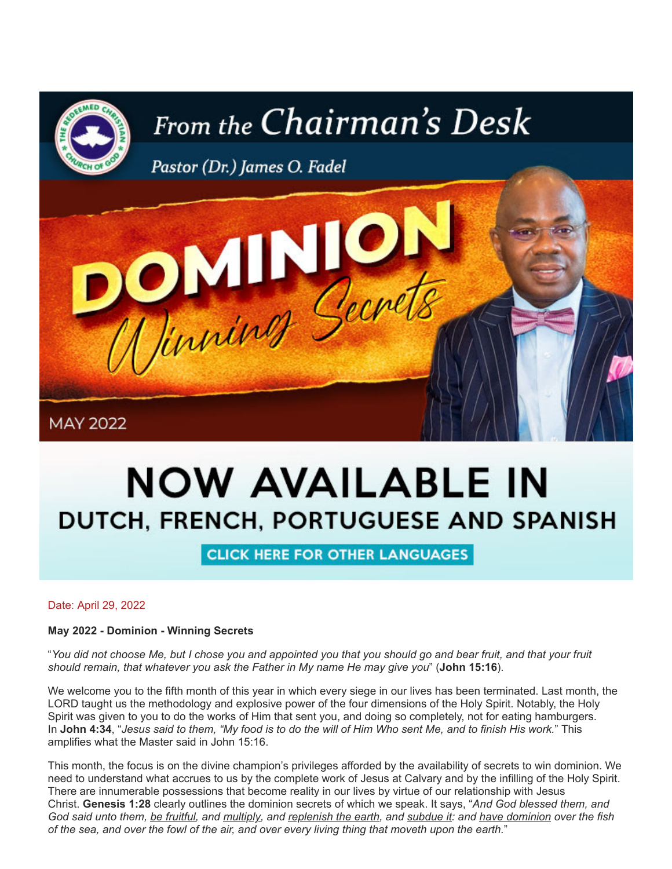

# **NOW AVAILABLE IN** DUTCH, FRENCH, PORTUGUESE AND SPANISH

**CLICK HERE FOR OTHER LANGUAGES** 

Date: April 29, 2022

**May 2022 - Dominion - Winning Secrets**

"*You did not choose Me, but I chose you and appointed you that you should go and bear fruit, and that your fruit should remain, that whatever you ask the Father in My name He may give you*" (**John 15:16**).

We welcome you to the fifth month of this year in which every siege in our lives has been terminated. Last month, the LORD taught us the methodology and explosive power of the four dimensions of the Holy Spirit. Notably, the Holy Spirit was given to you to do the works of Him that sent you, and doing so completely, not for eating hamburgers. In **John 4:34**, "*Jesus said to them, "My food is to do the will of Him Who sent Me, and to finish His work.*" This amplifies what the Master said in John 15:16.

This month, the focus is on the divine champion's privileges afforded by the availability of secrets to win dominion. We need to understand what accrues to us by the complete work of Jesus at Calvary and by the infilling of the Holy Spirit. There are innumerable possessions that become reality in our lives by virtue of our relationship with Jesus Christ. **Genesis 1:28** clearly outlines the dominion secrets of which we speak. It says, "*And God blessed them, and God said unto them, be fruitful, and multiply, and replenish the earth, and subdue it: and have dominion over the fish of the sea, and over the fowl of the air, and over every living thing that moveth upon the earth.*"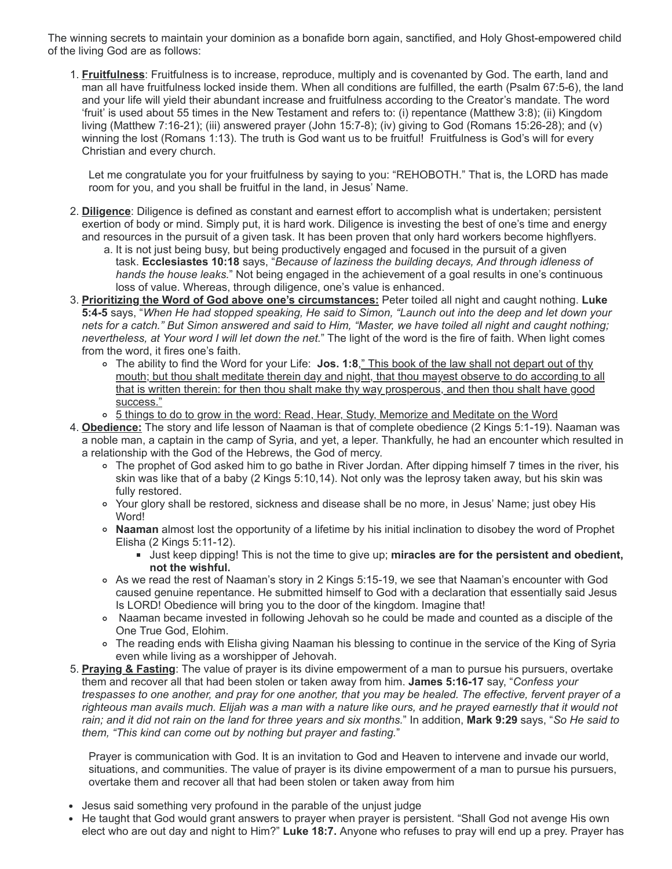The winning secrets to maintain your dominion as a bonafide born again, sanctified, and Holy Ghost-empowered child of the living God are as follows:

1. **Fruitfulness**: Fruitfulness is to increase, reproduce, multiply and is covenanted by God. The earth, land and man all have fruitfulness locked inside them. When all conditions are fulfilled, the earth (Psalm 67:5-6), the land and your life will yield their abundant increase and fruitfulness according to the Creator's mandate. The word 'fruit' is used about 55 times in the New Testament and refers to: (i) repentance (Matthew 3:8); (ii) Kingdom living (Matthew 7:16-21); (iii) answered prayer (John 15:7-8); (iv) giving to God (Romans 15:26-28); and (v) winning the lost (Romans 1:13). The truth is God want us to be fruitful! Fruitfulness is God's will for every Christian and every church.

Let me congratulate you for your fruitfulness by saying to you: "REHOBOTH." That is, the LORD has made room for you, and you shall be fruitful in the land, in Jesus' Name.

- 2. **Diligence**: Diligence is defined as constant and earnest effort to accomplish what is undertaken; persistent exertion of body or mind. Simply put, it is hard work. Diligence is investing the best of one's time and energy and resources in the pursuit of a given task. It has been proven that only hard workers become highflyers.
	- a. It is not just being busy, but being productively engaged and focused in the pursuit of a given task. **Ecclesiastes 10:18** says, "*Because of laziness the building decays, And through idleness of hands the house leaks.*" Not being engaged in the achievement of a goal results in one's continuous loss of value. Whereas, through diligence, one's value is enhanced.
- 3. **Prioritizing the Word of God above one's circumstances:** Peter toiled all night and caught nothing. **Luke 5:4-5** says, "*When He had stopped speaking, He said to Simon, "Launch out into the deep and let down your nets for a catch." But Simon answered and said to Him, "Master, we have toiled all night and caught nothing; nevertheless, at Your word I will let down the net.*" The light of the word is the fire of faith. When light comes from the word, it fires one's faith.
	- The ability to find the Word for your Life: **Jos. 1:8**," This book of the law shall not depart out of thy mouth; but thou shalt meditate therein day and night, that thou mayest observe to do according to all that is written therein: for then thou shalt make thy way prosperous, and then thou shalt have good success."
	- <sup>o</sup> 5 things to do to grow in the word: Read, Hear, Study, Memorize and Meditate on the Word
- 4. **Obedience:** The story and life lesson of Naaman is that of complete obedience (2 Kings 5:1-19). Naaman was a noble man, a captain in the camp of Syria, and yet, a leper. Thankfully, he had an encounter which resulted in a relationship with the God of the Hebrews, the God of mercy.
	- The prophet of God asked him to go bathe in River Jordan. After dipping himself 7 times in the river, his skin was like that of a baby (2 Kings 5:10,14). Not only was the leprosy taken away, but his skin was fully restored.
	- Your glory shall be restored, sickness and disease shall be no more, in Jesus' Name; just obey His Word!
	- **Naaman** almost lost the opportunity of a lifetime by his initial inclination to disobey the word of Prophet Elisha (2 Kings 5:11-12).
		- Just keep dipping! This is not the time to give up; **miracles are for the persistent and obedient, not the wishful.**
	- As we read the rest of Naaman's story in 2 Kings 5:15-19, we see that Naaman's encounter with God caused genuine repentance. He submitted himself to God with a declaration that essentially said Jesus Is LORD! Obedience will bring you to the door of the kingdom. Imagine that!
	- Naaman became invested in following Jehovah so he could be made and counted as a disciple of the One True God, Elohim.
	- The reading ends with Elisha giving Naaman his blessing to continue in the service of the King of Syria even while living as a worshipper of Jehovah.
- 5. **Praying & Fasting**: The value of prayer is its divine empowerment of a man to pursue his pursuers, overtake them and recover all that had been stolen or taken away from him. **James 5:16-17** say, "*Confess your trespasses to one another, and pray for one another, that you may be healed. The effective, fervent prayer of a righteous man avails much. Elijah was a man with a nature like ours, and he prayed earnestly that it would not rain; and it did not rain on the land for three years and six months.*" In addition, **Mark 9:29** says, "*So He said to them, "This kind can come out by nothing but prayer and fasting.*"

Prayer is communication with God. It is an invitation to God and Heaven to intervene and invade our world, situations, and communities. The value of prayer is its divine empowerment of a man to pursue his pursuers, overtake them and recover all that had been stolen or taken away from him

- Jesus said something very profound in the parable of the unjust judge
- He taught that God would grant answers to prayer when prayer is persistent. "Shall God not avenge His own elect who are out day and night to Him?" **Luke 18:7.** Anyone who refuses to pray will end up a prey. Prayer has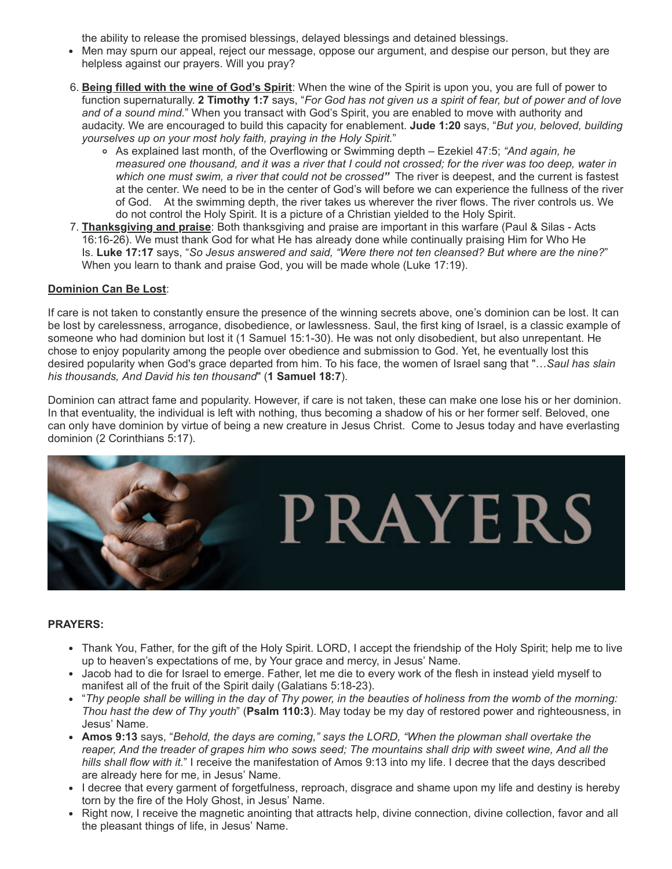the ability to release the promised blessings, delayed blessings and detained blessings.

- Men may spurn our appeal, reject our message, oppose our argument, and despise our person, but they are helpless against our prayers. Will you pray?
- 6. **Being filled with the wine of God's Spirit**: When the wine of the Spirit is upon you, you are full of power to function supernaturally. **2 Timothy 1:7** says, "*For God has not given us a spirit of fear, but of power and of love and of a sound mind.*" When you transact with God's Spirit, you are enabled to move with authority and audacity. We are encouraged to build this capacity for enablement. **Jude 1:20** says, "*But you, beloved, building yourselves up on your most holy faith, praying in the Holy Spirit.*"
	- As explained last month, of the Overflowing or Swimming depth Ezekiel 47:5; *"And again, he measured one thousand, and it was a river that I could not crossed; for the river was too deep, water in which one must swim, a river that could not be crossed"* The river is deepest, and the current is fastest at the center. We need to be in the center of God's will before we can experience the fullness of the river of God. At the swimming depth, the river takes us wherever the river flows. The river controls us. We do not control the Holy Spirit. It is a picture of a Christian yielded to the Holy Spirit.
- 7. **Thanksgiving and praise**: Both thanksgiving and praise are important in this warfare (Paul & Silas Acts 16:16-26). We must thank God for what He has already done while continually praising Him for Who He Is. **Luke 17:17** says, "*So Jesus answered and said, "Were there not ten cleansed? But where are the nine?*" When you learn to thank and praise God, you will be made whole (Luke 17:19).

## **Dominion Can Be Lost**:

If care is not taken to constantly ensure the presence of the winning secrets above, one's dominion can be lost. It can be lost by carelessness, arrogance, disobedience, or lawlessness. Saul, the first king of Israel, is a classic example of someone who had dominion but lost it (1 Samuel 15:1-30). He was not only disobedient, but also unrepentant. He chose to enjoy popularity among the people over obedience and submission to God. Yet, he eventually lost this desired popularity when God's grace departed from him. To his face, the women of Israel sang that "…*Saul has slain his thousands, And David his ten thousand*" (**1 Samuel 18:7**).

Dominion can attract fame and popularity. However, if care is not taken, these can make one lose his or her dominion. In that eventuality, the individual is left with nothing, thus becoming a shadow of his or her former self. Beloved, one can only have dominion by virtue of being a new creature in Jesus Christ. Come to Jesus today and have everlasting dominion (2 Corinthians 5:17).



#### **PRAYERS:**

- Thank You, Father, for the gift of the Holy Spirit. LORD, I accept the friendship of the Holy Spirit; help me to live up to heaven's expectations of me, by Your grace and mercy, in Jesus' Name.
- Jacob had to die for Israel to emerge. Father, let me die to every work of the flesh in instead yield myself to manifest all of the fruit of the Spirit daily (Galatians 5:18-23).
- "*Thy people shall be willing in the day of Thy power, in the beauties of holiness from the womb of the morning: Thou hast the dew of Thy youth*" (**Psalm 110:3**). May today be my day of restored power and righteousness, in Jesus' Name.
- **Amos 9:13** says, "*Behold, the days are coming," says the LORD, "When the plowman shall overtake the reaper, And the treader of grapes him who sows seed; The mountains shall drip with sweet wine, And all the hills shall flow with it.*" I receive the manifestation of Amos 9:13 into my life. I decree that the days described are already here for me, in Jesus' Name.
- I decree that every garment of forgetfulness, reproach, disgrace and shame upon my life and destiny is hereby torn by the fire of the Holy Ghost, in Jesus' Name.
- Right now, I receive the magnetic anointing that attracts help, divine connection, divine collection, favor and all the pleasant things of life, in Jesus' Name.